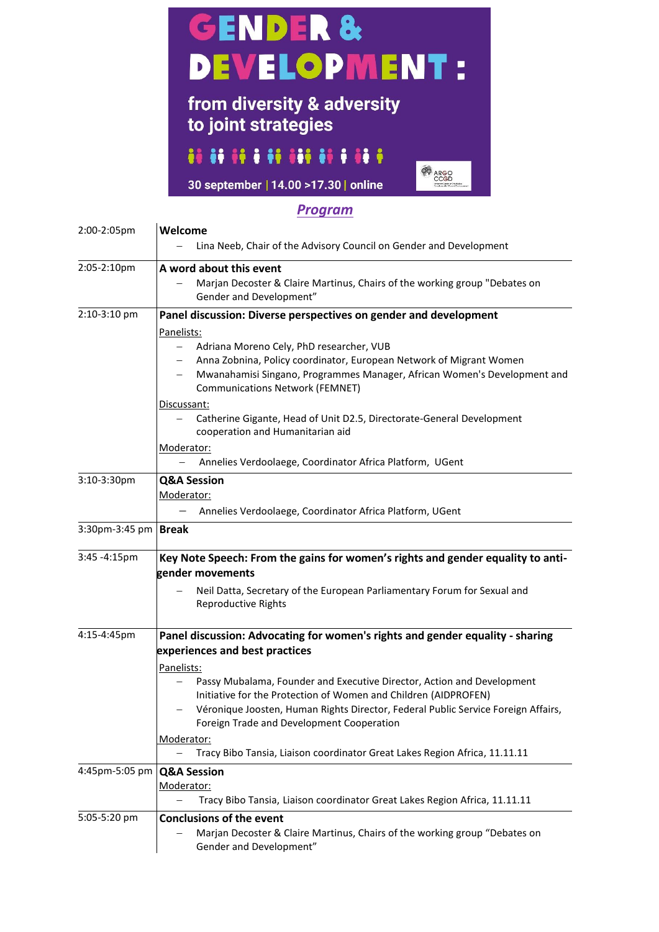

## 

30 september | 14.00 > 17.30 | online

## *Program*

**OO** ARGO<br>CCGD

| 2:00-2:05pm    | Welcome<br>Lina Neeb, Chair of the Advisory Council on Gender and Development                                                                                                                                                                                                                                                                                                                                                                                                                                                 |
|----------------|-------------------------------------------------------------------------------------------------------------------------------------------------------------------------------------------------------------------------------------------------------------------------------------------------------------------------------------------------------------------------------------------------------------------------------------------------------------------------------------------------------------------------------|
| 2:05-2:10pm    | A word about this event<br>Marjan Decoster & Claire Martinus, Chairs of the working group "Debates on<br>Gender and Development"                                                                                                                                                                                                                                                                                                                                                                                              |
| 2:10-3:10 pm   | Panel discussion: Diverse perspectives on gender and development<br>Panelists:<br>Adriana Moreno Cely, PhD researcher, VUB<br>$\overline{\phantom{0}}$<br>Anna Zobnina, Policy coordinator, European Network of Migrant Women<br>$-$<br>Mwanahamisi Singano, Programmes Manager, African Women's Development and<br>$-$<br><b>Communications Network (FEMNET)</b><br>Discussant:<br>Catherine Gigante, Head of Unit D2.5, Directorate-General Development<br>$-$<br>cooperation and Humanitarian aid<br>Moderator:            |
|                | Annelies Verdoolaege, Coordinator Africa Platform, UGent                                                                                                                                                                                                                                                                                                                                                                                                                                                                      |
| 3:10-3:30pm    | <b>Q&amp;A Session</b><br>Moderator:<br>Annelies Verdoolaege, Coordinator Africa Platform, UGent                                                                                                                                                                                                                                                                                                                                                                                                                              |
| 3:30pm-3:45 pm | <b>Break</b>                                                                                                                                                                                                                                                                                                                                                                                                                                                                                                                  |
| 3:45 -4:15pm   | Key Note Speech: From the gains for women's rights and gender equality to anti-<br>gender movements<br>Neil Datta, Secretary of the European Parliamentary Forum for Sexual and<br>Reproductive Rights                                                                                                                                                                                                                                                                                                                        |
| 4:15-4:45pm    | Panel discussion: Advocating for women's rights and gender equality - sharing<br>experiences and best practices<br>Panelists:<br>Passy Mubalama, Founder and Executive Director, Action and Development<br>Initiative for the Protection of Women and Children (AIDPROFEN)<br>Véronique Joosten, Human Rights Director, Federal Public Service Foreign Affairs,<br>Foreign Trade and Development Cooperation<br>Moderator:<br>Tracy Bibo Tansia, Liaison coordinator Great Lakes Region Africa, 11.11.11<br>$\qquad \qquad -$ |
| 4:45pm-5:05 pm | <b>Q&amp;A Session</b><br>Moderator:<br>Tracy Bibo Tansia, Liaison coordinator Great Lakes Region Africa, 11.11.11                                                                                                                                                                                                                                                                                                                                                                                                            |
| 5:05-5:20 pm   | <b>Conclusions of the event</b><br>Marjan Decoster & Claire Martinus, Chairs of the working group "Debates on<br>Gender and Development"                                                                                                                                                                                                                                                                                                                                                                                      |